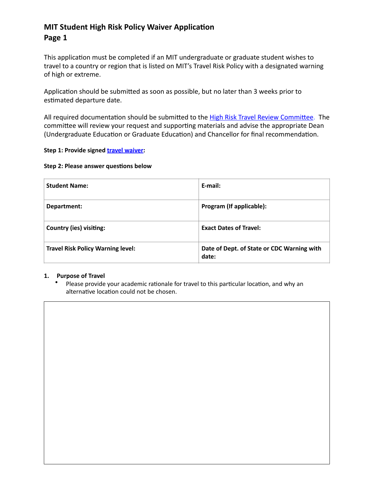# **MIT Student High Risk Policy Waiver Application Page 1**

This application must be completed if an MIT undergraduate or graduate student wishes to travel to a country or region that is listed on MIT's Travel Risk Policy with a designated warning of high or extreme.

Application should be submitted as soon as possible, but no later than 3 weeks prior to estimated departure date.

All required documentation should be submitted to the High Risk Travel Review Committee. The committee will review your request and supporting materials and advise the appropriate Dean (Undergraduate Education or Graduate Education) and Chancellor for final recommendation.

### **Step 1: Provide signed <b>travel waiver:**

#### **Step 2: Please answer questions below**

| <b>Student Name:</b>                     | E-mail:                                             |
|------------------------------------------|-----------------------------------------------------|
| Department:                              | Program (If applicable):                            |
| <b>Country (ies) visiting:</b>           | <b>Exact Dates of Travel:</b>                       |
| <b>Travel Risk Policy Warning level:</b> | Date of Dept. of State or CDC Warning with<br>date: |

#### **1.** Purpose of Travel

Please provide your academic rationale for travel to this particular location, and why an alternative location could not be chosen.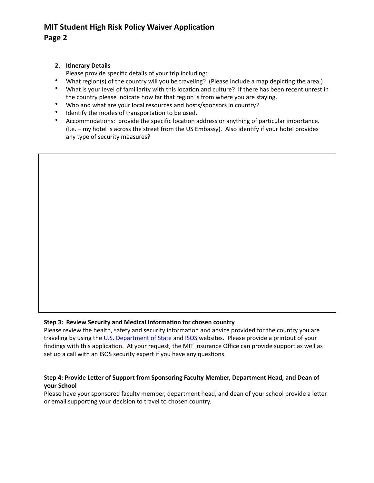# **MIT Student High Risk Policy Waiver Application Page 2**

## **2. Itinerary Details**

Please provide specific details of your trip including:

- What region(s) of the country will you be traveling? (Please include a map depicting the area.)
- What is your level of familiarity with this location and culture? If there has been recent unrest in the country please indicate how far that region is from where you are staying.
- Who and what are your local resources and hosts/sponsors in country?
- Identify the modes of transportation to be used.
- Accommodations: provide the specific location address or anything of particular importance. (I.e. – my hotel is across the street from the US Embassy). Also identify if your hotel provides any type of security measures?

### **Step 3: Review Security and Medical Information for chosen country**

Please review the health, safety and security information and advice provided for the country you are traveling by using the U.S. Department of State and ISOS websites. Please provide a printout of your findings with this application. At your request, the MIT Insurance Office can provide support as well as set up a call with an ISOS security expert if you have any questions.

### Step 4: Provide Letter of Support from Sponsoring Faculty Member, Department Head, and Dean of **your School**

Please have your sponsored faculty member, department head, and dean of your school provide a letter or email supporting your decision to travel to chosen country.